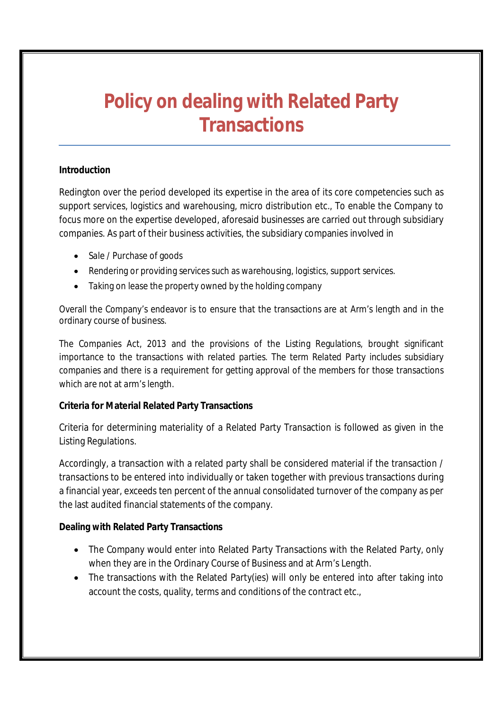## **Policy on dealing with Related Party Transactions**

## **Introduction**

Redington over the period developed its expertise in the area of its core competencies such as support services, logistics and warehousing, micro distribution etc., To enable the Company to focus more on the expertise developed, aforesaid businesses are carried out through subsidiary companies. As part of their business activities, the subsidiary companies involved in

- Sale / Purchase of goods
- Rendering or providing services such as warehousing, logistics, support services.
- Taking on lease the property owned by the holding company

Overall the Company's endeavor is to ensure that the transactions are at Arm's length and in the ordinary course of business.

The Companies Act, 2013 and the provisions of the Listing Regulations, brought significant importance to the transactions with related parties. The term Related Party includes subsidiary companies and there is a requirement for getting approval of the members for those transactions which are not at arm's length.

## **Criteria for Material Related Party Transactions**

Criteria for determining materiality of a Related Party Transaction is followed as given in the Listing Regulations.

Accordingly, a transaction with a related party shall be considered material if the transaction / transactions to be entered into individually or taken together with previous transactions during a financial year, exceeds ten percent of the annual consolidated turnover of the company as per the last audited financial statements of the company.

## **Dealing with Related Party Transactions**

- The Company would enter into Related Party Transactions with the Related Party, only when they are in the Ordinary Course of Business and at Arm's Length.
- The transactions with the Related Party(ies) will only be entered into after taking into account the costs, quality, terms and conditions of the contract etc.,